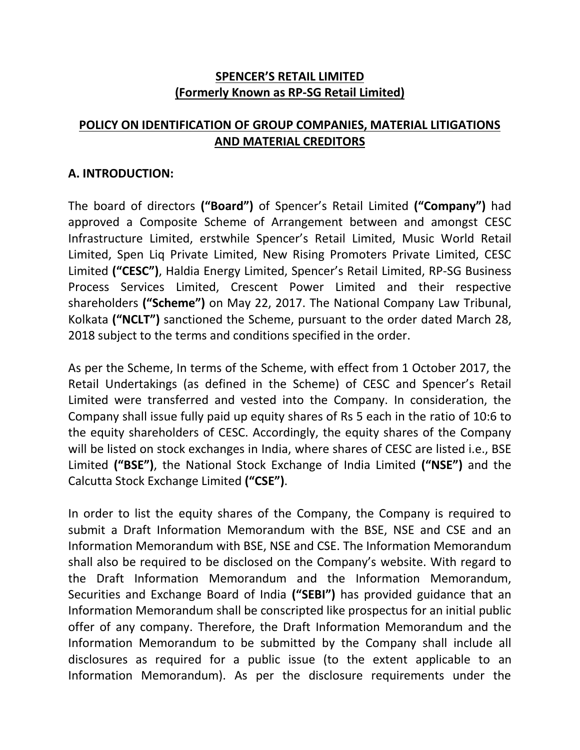## **SPENCER'S RETAIL LIMITED (Formerly Known as RP-SG Retail Limited)**

# **POLICY ON IDENTIFICATION OF GROUP COMPANIES, MATERIAL LITIGATIONS AND MATERIAL CREDITORS**

#### **A. INTRODUCTION:**

The board of directors **("Board")** of Spencer's Retail Limited **("Company")** had approved a Composite Scheme of Arrangement between and amongst CESC Infrastructure Limited, erstwhile Spencer's Retail Limited, Music World Retail Limited, Spen Liq Private Limited, New Rising Promoters Private Limited, CESC Limited **("CESC")**, Haldia Energy Limited, Spencer's Retail Limited, RP-SG Business Process Services Limited, Crescent Power Limited and their respective shareholders **("Scheme")** on May 22, 2017. The National Company Law Tribunal, Kolkata **("NCLT")** sanctioned the Scheme, pursuant to the order dated March 28, 2018 subject to the terms and conditions specified in the order.

As per the Scheme, In terms of the Scheme, with effect from 1 October 2017, the Retail Undertakings (as defined in the Scheme) of CESC and Spencer's Retail Limited were transferred and vested into the Company. In consideration, the Company shall issue fully paid up equity shares of Rs 5 each in the ratio of 10:6 to the equity shareholders of CESC. Accordingly, the equity shares of the Company will be listed on stock exchanges in India, where shares of CESC are listed i.e., BSE Limited **("BSE")**, the National Stock Exchange of India Limited **("NSE")** and the Calcutta Stock Exchange Limited **("CSE")**.

In order to list the equity shares of the Company, the Company is required to submit a Draft Information Memorandum with the BSE, NSE and CSE and an Information Memorandum with BSE, NSE and CSE. The Information Memorandum shall also be required to be disclosed on the Company's website. With regard to the Draft Information Memorandum and the Information Memorandum, Securities and Exchange Board of India **("SEBI")** has provided guidance that an Information Memorandum shall be conscripted like prospectus for an initial public offer of any company. Therefore, the Draft Information Memorandum and the Information Memorandum to be submitted by the Company shall include all disclosures as required for a public issue (to the extent applicable to an Information Memorandum). As per the disclosure requirements under the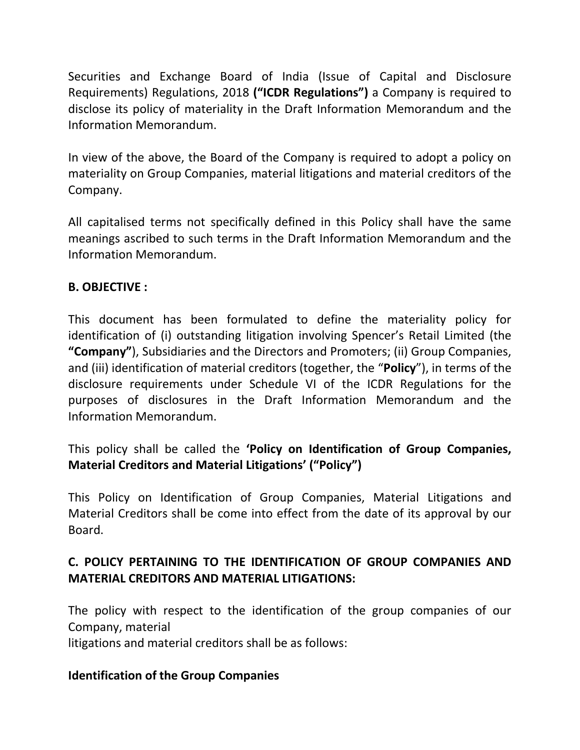Securities and Exchange Board of India (Issue of Capital and Disclosure Requirements) Regulations, 2018 **("ICDR Regulations")** a Company is required to disclose its policy of materiality in the Draft Information Memorandum and the Information Memorandum.

In view of the above, the Board of the Company is required to adopt a policy on materiality on Group Companies, material litigations and material creditors of the Company.

All capitalised terms not specifically defined in this Policy shall have the same meanings ascribed to such terms in the Draft Information Memorandum and the Information Memorandum.

## **B. OBJECTIVE :**

This document has been formulated to define the materiality policy for identification of (i) outstanding litigation involving Spencer's Retail Limited (the **"Company"**), Subsidiaries and the Directors and Promoters; (ii) Group Companies, and (iii) identification of material creditors (together, the "**Policy**"), in terms of the disclosure requirements under Schedule VI of the ICDR Regulations for the purposes of disclosures in the Draft Information Memorandum and the Information Memorandum.

This policy shall be called the **'Policy on Identification of Group Companies, Material Creditors and Material Litigations' ("Policy")**

This Policy on Identification of Group Companies, Material Litigations and Material Creditors shall be come into effect from the date of its approval by our Board.

## **C. POLICY PERTAINING TO THE IDENTIFICATION OF GROUP COMPANIES AND MATERIAL CREDITORS AND MATERIAL LITIGATIONS:**

The policy with respect to the identification of the group companies of our Company, material

litigations and material creditors shall be as follows:

## **Identification of the Group Companies**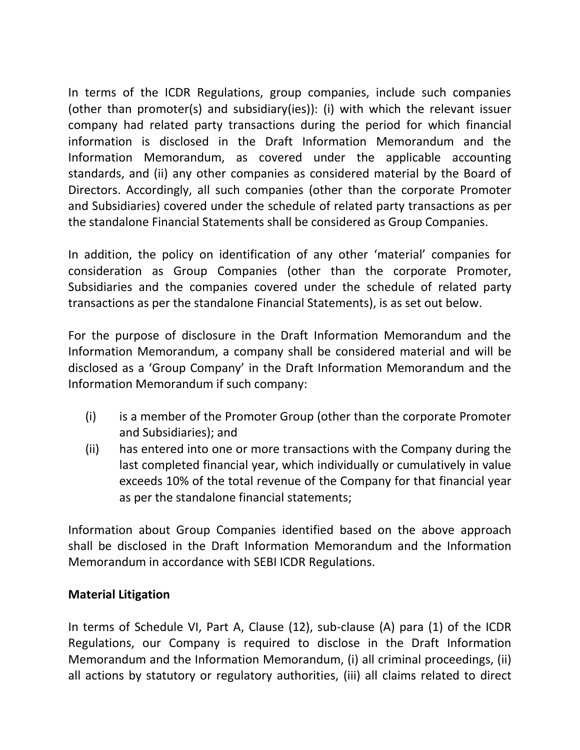In terms of the ICDR Regulations, group companies, include such companies (other than promoter(s) and subsidiary(ies)): (i) with which the relevant issuer company had related party transactions during the period for which financial information is disclosed in the Draft Information Memorandum and the Information Memorandum, as covered under the applicable accounting standards, and (ii) any other companies as considered material by the Board of Directors. Accordingly, all such companies (other than the corporate Promoter and Subsidiaries) covered under the schedule of related party transactions as per the standalone Financial Statements shall be considered as Group Companies.

In addition, the policy on identification of any other 'material' companies for consideration as Group Companies (other than the corporate Promoter, Subsidiaries and the companies covered under the schedule of related party transactions as per the standalone Financial Statements), is as set out below.

For the purpose of disclosure in the Draft Information Memorandum and the Information Memorandum, a company shall be considered material and will be disclosed as a 'Group Company' in the Draft Information Memorandum and the Information Memorandum if such company:

- (i) is a member of the Promoter Group (other than the corporate Promoter and Subsidiaries); and
- (ii) has entered into one or more transactions with the Company during the last completed financial year, which individually or cumulatively in value exceeds 10% of the total revenue of the Company for that financial year as per the standalone financial statements;

Information about Group Companies identified based on the above approach shall be disclosed in the Draft Information Memorandum and the Information Memorandum in accordance with SEBI ICDR Regulations.

#### **Material Litigation**

In terms of Schedule VI, Part A, Clause (12), sub-clause (A) para (1) of the ICDR Regulations, our Company is required to disclose in the Draft Information Memorandum and the Information Memorandum, (i) all criminal proceedings, (ii) all actions by statutory or regulatory authorities, (iii) all claims related to direct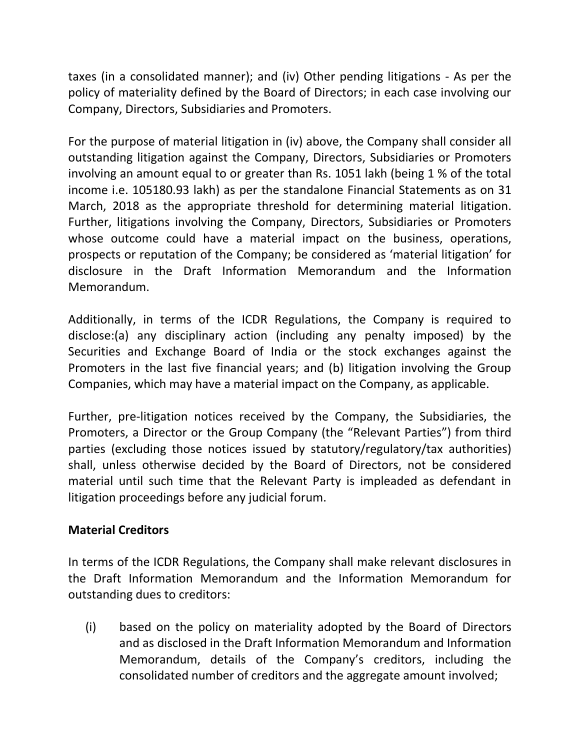taxes (in a consolidated manner); and (iv) Other pending litigations - As per the policy of materiality defined by the Board of Directors; in each case involving our Company, Directors, Subsidiaries and Promoters.

For the purpose of material litigation in (iv) above, the Company shall consider all outstanding litigation against the Company, Directors, Subsidiaries or Promoters involving an amount equal to or greater than Rs. 1051 lakh (being 1 % of the total income i.e. 105180.93 lakh) as per the standalone Financial Statements as on 31 March, 2018 as the appropriate threshold for determining material litigation. Further, litigations involving the Company, Directors, Subsidiaries or Promoters whose outcome could have a material impact on the business, operations, prospects or reputation of the Company; be considered as 'material litigation' for disclosure in the Draft Information Memorandum and the Information Memorandum.

Additionally, in terms of the ICDR Regulations, the Company is required to disclose:(a) any disciplinary action (including any penalty imposed) by the Securities and Exchange Board of India or the stock exchanges against the Promoters in the last five financial years; and (b) litigation involving the Group Companies, which may have a material impact on the Company, as applicable.

Further, pre-litigation notices received by the Company, the Subsidiaries, the Promoters, a Director or the Group Company (the "Relevant Parties") from third parties (excluding those notices issued by statutory/regulatory/tax authorities) shall, unless otherwise decided by the Board of Directors, not be considered material until such time that the Relevant Party is impleaded as defendant in litigation proceedings before any judicial forum.

## **Material Creditors**

In terms of the ICDR Regulations, the Company shall make relevant disclosures in the Draft Information Memorandum and the Information Memorandum for outstanding dues to creditors:

(i) based on the policy on materiality adopted by the Board of Directors and as disclosed in the Draft Information Memorandum and Information Memorandum, details of the Company's creditors, including the consolidated number of creditors and the aggregate amount involved;